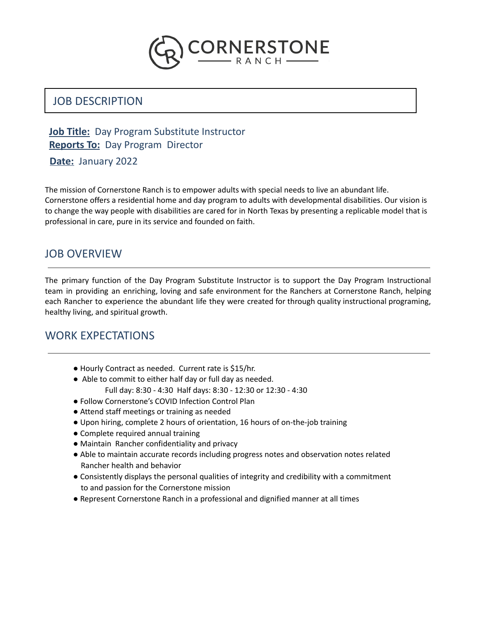

# JOB DESCRIPTION

### **Job Title:** Day Program Substitute Instructor **Reports To:** Day Program Director

**Date:** January 2022

The mission of Cornerstone Ranch is to empower adults with special needs to live an abundant life. Cornerstone offers a residential home and day program to adults with developmental disabilities. Our vision is to change the way people with disabilities are cared for in North Texas by presenting a replicable model that is professional in care, pure in its service and founded on faith.

# JOB OVERVIEW

The primary function of the Day Program Substitute Instructor is to support the Day Program Instructional team in providing an enriching, loving and safe environment for the Ranchers at Cornerstone Ranch, helping each Rancher to experience the abundant life they were created for through quality instructional programing, healthy living, and spiritual growth.

### WORK EXPECTATIONS

- Hourly Contract as needed. Current rate is \$15/hr.
- Able to commit to either half day or full day as needed. Full day: 8:30 - 4:30 Half days: 8:30 - 12:30 or 12:30 - 4:30
- Follow Cornerstone's COVID Infection Control Plan
- Attend staff meetings or training as needed
- Upon hiring, complete 2 hours of orientation, 16 hours of on-the-job training
- Complete required annual training
- Maintain Rancher confidentiality and privacy
- Able to maintain accurate records including progress notes and observation notes related Rancher health and behavior
- Consistently displays the personal qualities of integrity and credibility with a commitment to and passion for the Cornerstone mission
- Represent Cornerstone Ranch in a professional and dignified manner at all times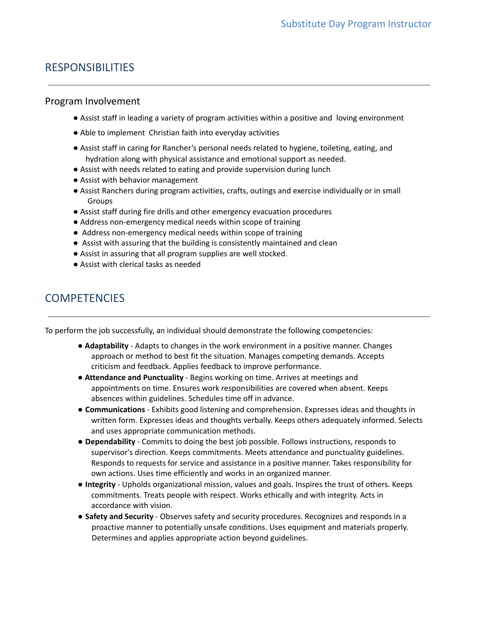## RESPONSIBILITIES

#### Program Involvement

- Assist staff in leading a variety of program activities within a positive and loving environment
- Able to implement Christian faith into everyday activities
- Assist staff in caring for Rancher's personal needs related to hygiene, toileting, eating, and hydration along with physical assistance and emotional support as needed.
- Assist with needs related to eating and provide supervision during lunch
- Assist with behavior management
- Assist Ranchers during program activities, crafts, outings and exercise individually or in small Groups
- Assist staff during fire drills and other emergency evacuation procedures
- Address non-emergency medical needs within scope of training
- Address non-emergency medical needs within scope of training
- Assist with assuring that the building is consistently maintained and clean
- Assist in assuring that all program supplies are well stocked.
- Assist with clerical tasks as needed

### **COMPETENCIES**

To perform the job successfully, an individual should demonstrate the following competencies:

- **Adaptability** Adapts to changes in the work environment in a positive manner. Changes approach or method to best fit the situation. Manages competing demands. Accepts criticism and feedback. Applies feedback to improve performance.
- **Attendance and Punctuality** Begins working on time. Arrives at meetings and appointments on time. Ensures work responsibilities are covered when absent. Keeps absences within guidelines. Schedules time off in advance.
- **Communications** Exhibits good listening and comprehension. Expresses ideas and thoughts in written form. Expresses ideas and thoughts verbally. Keeps others adequately informed. Selects and uses appropriate communication methods.
- **Dependability** Commits to doing the best job possible. Follows instructions, responds to supervisor's direction. Keeps commitments. Meets attendance and punctuality guidelines. Responds to requests for service and assistance in a positive manner. Takes responsibility for own actions. Uses time efficiently and works in an organized manner.
- **Integrity** Upholds organizational mission, values and goals. Inspires the trust of others. Keeps commitments. Treats people with respect. Works ethically and with integrity. Acts in accordance with vision.
- **Safety and Security** Observes safety and security procedures. Recognizes and responds in a proactive manner to potentially unsafe conditions. Uses equipment and materials properly. Determines and applies appropriate action beyond guidelines.